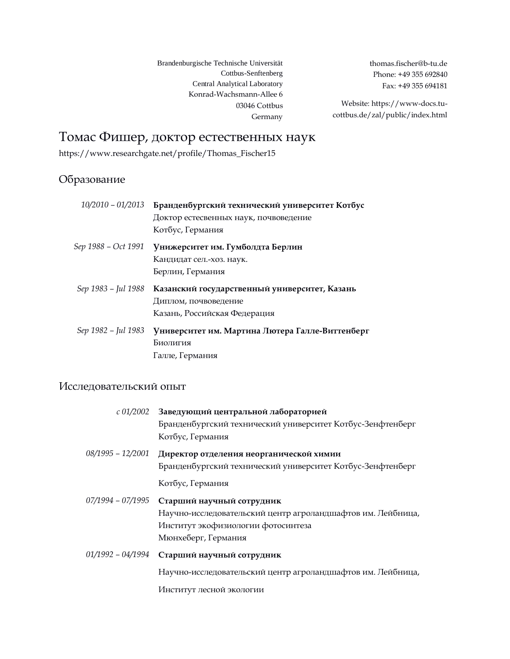Brandenburgische Technische Universität Cottbus-Senftenberg Central Analytical Laboratory Konrad-Wachsmann-Allee 6 03046 Cottbus Germany thomas.fischer@b-tu.de Phone: +49 355 692840 Fax: +49 355 694181

Website: https://www-docs.tucottbus.de/zal/public/index.html

# Томас Фишер, доктор естественных наук

https://www.researchgate.net/profile/Thomas\_Fischer15

# Образование

| 10/2010 - 01/2013 Бранденбургский технический университет Котбус    |
|---------------------------------------------------------------------|
| Доктор естесвенных наук, почвоведение                               |
| Котбус, Германия                                                    |
| Sep 1988 - Oct 1991 <b>Унижерситет им. Гумболдта Берлин</b>         |
| Кандидат сел.-хоз. наук.                                            |
| Берлин, Германия                                                    |
|                                                                     |
| Sep 1983 - Jul 1988   Казанский государственный университет, Казань |
| Диплом, почвоведение                                                |
| Казань, Российская Федерация                                        |
| Sep 1982 - Jul 1983 Университет им. Мартина Лютера Галле-Виттенберг |
| Биолигия                                                            |

# Исследовательский опыт

|                     | с 01/2002 Заведующий центральной лабораторией<br>Бранденбургский технический университет Котбус-Зенфтенберг<br>Котбус, Германия                       |
|---------------------|-------------------------------------------------------------------------------------------------------------------------------------------------------|
| 08/1995 - 12/2001   | Директор отделения неорганической химии<br>Бранденбургский технический университет Котбус-Зенфтенберг                                                 |
|                     | Котбус, Германия                                                                                                                                      |
| $07/1994 - 07/1995$ | Старший научный сотрудник<br>Научно-исследовательский центр агроландшафтов им. Лейбница,<br>Институт экофизиологии фотосинтеза<br>Мюнхеберг, Германия |
|                     | 01/1992 - 04/1994 Старший научный сотрудник                                                                                                           |
|                     | Научно-исследовательский центр агроландшафтов им. Лейбница,                                                                                           |
|                     | Институт лесной экологии                                                                                                                              |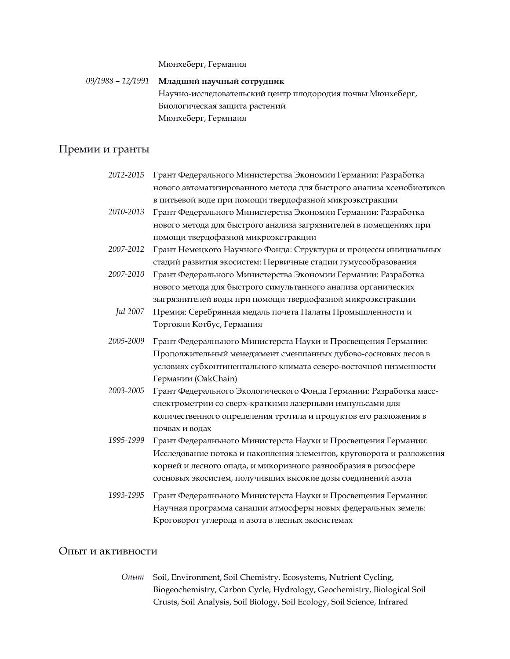#### Мюнхеберг, Германия

*09/1988 – 12/1991* **Младший научный сотрудник** Научно-исследовательский центр плодородия почвы Мюнхеберг, Биологическая защита растений Мюнхеберг, Гермнаия

#### Премии и гранты

- *2012-2015* Грант Федерального Министерства Экономии Германии: Разработка нового автоматизированного метода для быстрого анализа ксенобиотиков в питьевой воде при помощи твердофазной микроэкстракции
- *2010-2013* Грант Федерального Министерства Экономии Германии: Разработка нового метода для быстрого анализа загрязнителей в помещениях при помощи твердофазной микроэкстракции
- *2007-2012* Грант Немецкого Научного Фонда: Структуры и процессы инициальных стадий развития экосистем: Первичные стадии гумусообразования
- *2007-2010* Грант Федерального Министерства Экономии Германии: Разработка нового метода для быстрого симультанного анализа органических зыгрязнителей воды при помощи твердофазной микроэкстракции
	- *Jul 2007* Премия: Серебрянная медаль почета Палаты Промышленности и Торговли Котбус, Германия
- *2005-2009* Грант Федералньного Министерста Науки и Просвещения Германии: Продолжительный менеджмент сменшанных дубово-сосновых лесов в условиях субконтинентального климата северо-восточной низменности Германии (OakChain)
- *2003-2005* Грант Федерального Экологического Фонда Германии: Разработка массспектрометрии со сверх-краткими лазерными импульсами для количественного определения тротила и продуктов его разложения в почвах и водах
- *1995-1999* Грант Федералньного Министерста Науки и Просвещения Германии: Исследование потока и накопления элементов, круговорота и разложения корней и лесного опада, и микоризного разнообразия в ризосфере сосновых экосистем, получивших высокие дозы соединений азота
- *1993-1995* Грант Федералньного Министерста Науки и Просвещения Германии: Научная программа санации атмосферы новых федеральных земель: Кроговорот углерода и азота в лесных экосистемах

#### Опыт и активности

*Опыт* Soil, Environment, Soil Chemistry, Ecosystems, Nutrient Cycling, Biogeochemistry, Carbon Cycle, Hydrology, Geochemistry, Biological Soil Crusts, Soil Analysis, Soil Biology, Soil Ecology, Soil Science, Infrared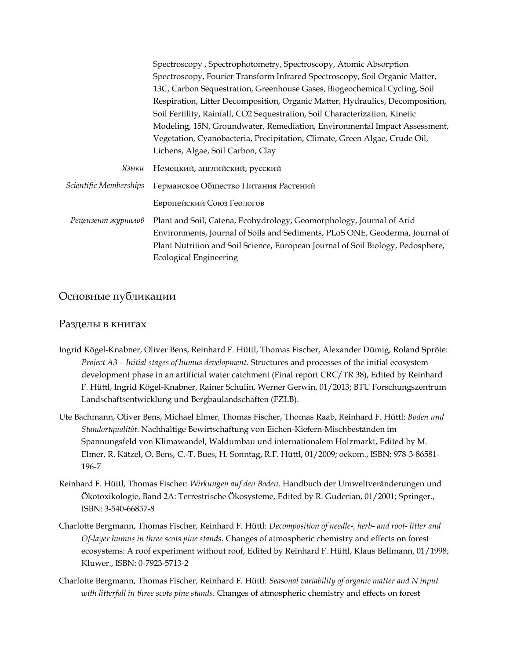|                               | Spectroscopy, Spectrophotometry, Spectroscopy, Atomic Absorption                |
|-------------------------------|---------------------------------------------------------------------------------|
|                               | Spectroscopy, Fourier Transform Infrared Spectroscopy, Soil Organic Matter,     |
|                               | 13C, Carbon Sequestration, Greenhouse Gases, Biogeochemical Cycling, Soil       |
|                               | Respiration, Litter Decomposition, Organic Matter, Hydraulics, Decomposition,   |
|                               | Soil Fertility, Rainfall, CO2 Sequestration, Soil Characterization, Kinetic     |
|                               | Modeling, 15N, Groundwater, Remediation, Environmental Impact Assessment,       |
|                               | Vegetation, Cyanobacteria, Precipitation, Climate, Green Algae, Crude Oil,      |
|                               | Lichens, Algae, Soil Carbon, Clay                                               |
| Языки                         | Немецкий, английский, русский                                                   |
| <i>Scientific Memberships</i> | Германское Общество Питания Растений                                            |
|                               | Европейский Союз Геологов                                                       |
| Рецензент журналов            | Plant and Soil, Catena, Ecohydrology, Geomorphology, Journal of Arid            |
|                               | Environments, Journal of Soils and Sediments, PLoS ONE, Geoderma, Journal of    |
|                               | Plant Nutrition and Soil Science, European Journal of Soil Biology, Pedosphere, |
|                               | <b>Ecological Engineering</b>                                                   |

## Основные публикации

### Разделы в книгах

- Ingrid Kögel-Knabner, Oliver Bens, Reinhard F. Hüttl, Thomas Fischer, Alexander Dümig, Roland Spröte: *Project A3 – Initial stages of humus development*. Structures and processes of the initial ecosystem development phase in an artificial water catchment (Final report CRC/TR 38), Edited by Reinhard F. Hüttl, Ingrid Kögel-Knabner, Rainer Schulin, Werner Gerwin, 01/2013; BTU Forschungszentrum Landschaftsentwicklung und Bergbaulandschaften (FZLB).
- Ute Bachmann, Oliver Bens, Michael Elmer, Thomas Fischer, Thomas Raab, Reinhard F. Hüttl: *Boden und Standortqualität*. Nachhaltige Bewirtschaftung von Eichen-Kiefern-Mischbeständen im Spannungsfeld von Klimawandel, Waldumbau und internationalem Holzmarkt, Edited by M. Elmer, R. Kätzel, O. Bens, C.-T. Bues, H. Sonntag, R.F. Hüttl, 01/2009; oekom., ISBN: 978-3-86581- 196-7
- Reinhard F. Hüttl, Thomas Fischer: *Wirkungen auf den Boden*. Handbuch der Umweltveränderungen und Ökotoxikologie, Band 2A: Terrestrische Ökosysteme, Edited by R. Guderian, 01/2001; Springer., ISBN: 3-540-66857-8
- Charlotte Bergmann, Thomas Fischer, Reinhard F. Hüttl: *Decomposition of needle-, herb- and root- litter and Of-layer humus in three scots pine stands*. Changes of atmospheric chemistry and effects on forest ecosystems: A roof experiment without roof, Edited by Reinhard F. Hüttl, Klaus Bellmann, 01/1998; Kluwer., ISBN: 0-7923-5713-2
- Charlotte Bergmann, Thomas Fischer, Reinhard F. Hüttl: *Seasonal variability of organic matter and N input with litterfall in three scots pine stands*. Changes of atmospheric chemistry and effects on forest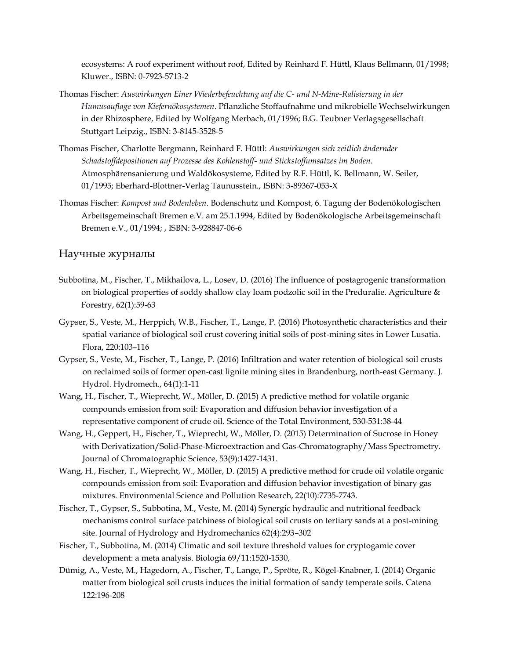ecosystems: A roof experiment without roof, Edited by Reinhard F. Hüttl, Klaus Bellmann, 01/1998; Kluwer., ISBN: 0-7923-5713-2

- Thomas Fischer: *Auswirkungen Einer Wiederbefeuchtung auf die C- und N-Mine-Ralisierung in der Humusauflage von Kiefernökosystemen*. Pflanzliche Stoffaufnahme und mikrobielle Wechselwirkungen in der Rhizosphere, Edited by Wolfgang Merbach, 01/1996; B.G. Teubner Verlagsgesellschaft Stuttgart Leipzig., ISBN: 3-8145-3528-5
- Thomas Fischer, Charlotte Bergmann, Reinhard F. Hüttl: *Auswirkungen sich zeitlich ändernder Schadstoffdepositionen auf Prozesse des Kohlenstoff- und Stickstoffumsatzes im Boden*. Atmosphärensanierung und Waldökosysteme, Edited by R.F. Hüttl, K. Bellmann, W. Seiler, 01/1995; Eberhard-Blottner-Verlag Taunusstein., ISBN: 3-89367-053-X
- Thomas Fischer: *Kompost und Bodenleben*. Bodenschutz und Kompost, 6. Tagung der Bodenökologischen Arbeitsgemeinschaft Bremen e.V. am 25.1.1994, Edited by Bodenökologische Arbeitsgemeinschaft Bremen e.V., 01/1994; , ISBN: 3-928847-06-6

### Научные журналы

- Subbotina, M., Fischer, T., Mikhailova, L., Losev, D. (2016) The influence of postagrogenic transformation on biological properties of soddy shallow clay loam podzolic soil in the Preduralie. Agriculture & Forestry, 62(1):59-63
- Gypser, S., Veste, M., Herppich, W.B., Fischer, T., Lange, P. (2016) Photosynthetic characteristics and their spatial variance of biological soil crust covering initial soils of post-mining sites in Lower Lusatia. Flora, 220:103–116
- Gypser, S., Veste, M., Fischer, T., Lange, P. (2016) Infiltration and water retention of biological soil crusts on reclaimed soils of former open-cast lignite mining sites in Brandenburg, north-east Germany. J. Hydrol. Hydromech., 64(1):1-11
- Wang, H., Fischer, T., Wieprecht, W., Möller, D. (2015) A predictive method for volatile organic compounds emission from soil: Evaporation and diffusion behavior investigation of a representative component of crude oil. Science of the Total Environment, 530-531:38-44
- Wang, H., Geppert, H., Fischer, T., Wieprecht, W., Möller, D. (2015) Determination of Sucrose in Honey with Derivatization/Solid-Phase-Microextraction and Gas-Chromatography/Mass Spectrometry. Journal of Chromatographic Science, 53(9):1427-1431.
- Wang, H., Fischer, T., Wieprecht, W., Möller, D. (2015) A predictive method for crude oil volatile organic compounds emission from soil: Evaporation and diffusion behavior investigation of binary gas mixtures. Environmental Science and Pollution Research, 22(10):7735-7743.
- Fischer, T., Gypser, S., Subbotina, M., Veste, M. (2014) Synergic hydraulic and nutritional feedback mechanisms control surface patchiness of biological soil crusts on tertiary sands at a post-mining site. Journal of Hydrology and Hydromechanics 62(4):293–302
- Fischer, T., Subbotina, M. (2014) Climatic and soil texture threshold values for cryptogamic cover development: a meta analysis. Biologia 69/11:1520-1530,
- Dümig, A., Veste, M., Hagedorn, A., Fischer, T., Lange, P., Spröte, R., Kögel-Knabner, I. (2014) Organic matter from biological soil crusts induces the initial formation of sandy temperate soils. Catena 122:196-208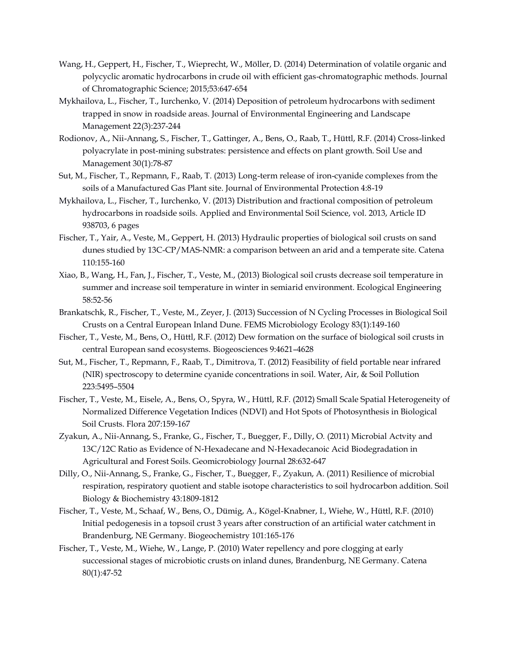- Wang, H., Geppert, H., Fischer, T., Wieprecht, W., Möller, D. (2014) Determination of volatile organic and polycyclic aromatic hydrocarbons in crude oil with efficient gas-chromatographic methods. Journal of Chromatographic Science; 2015;53:647-654
- Mykhailova, L., Fischer, T., Iurchenko, V. (2014) Deposition of petroleum hydrocarbons with sediment trapped in snow in roadside areas. Journal of Environmental Engineering and Landscape Management 22(3):237-244
- Rodionov, A., Nii-Annang, S., Fischer, T., Gattinger, A., Bens, O., Raab, T., Hüttl, R.F. (2014) Cross-linked polyacrylate in post-mining substrates: persistence and effects on plant growth. Soil Use and Management 30(1):78-87
- Sut, M., Fischer, T., Repmann, F., Raab, T. (2013) Long-term release of iron-cyanide complexes from the soils of a Manufactured Gas Plant site. Journal of Environmental Protection 4:8-19
- Mykhailova, L., Fischer, T., Iurchenko, V. (2013) Distribution and fractional composition of petroleum hydrocarbons in roadside soils. Applied and Environmental Soil Science, vol. 2013, Article ID 938703, 6 pages
- Fischer, T., Yair, A., Veste, M., Geppert, H. (2013) Hydraulic properties of biological soil crusts on sand dunes studied by 13C-CP/MAS-NMR: a comparison between an arid and a temperate site. Catena 110:155-160
- Xiao, B., Wang, H., Fan, J., Fischer, T., Veste, M., (2013) Biological soil crusts decrease soil temperature in summer and increase soil temperature in winter in semiarid environment. Ecological Engineering 58:52-56
- Brankatschk, R., Fischer, T., Veste, M., Zeyer, J. (2013) Succession of N Cycling Processes in Biological Soil Crusts on a Central European Inland Dune. FEMS Microbiology Ecology 83(1):149-160
- Fischer, T., Veste, M., Bens, O., Hüttl, R.F. (2012) Dew formation on the surface of biological soil crusts in central European sand ecosystems. Biogeosciences 9:4621–4628
- Sut, M., Fischer, T., Repmann, F., Raab, T., Dimitrova, T. (2012) Feasibility of field portable near infrared (NIR) spectroscopy to determine cyanide concentrations in soil. Water, Air, & Soil Pollution 223:5495–5504
- Fischer, T., Veste, M., Eisele, A., Bens, O., Spyra, W., Hüttl, R.F. (2012) Small Scale Spatial Heterogeneity of Normalized Difference Vegetation Indices (NDVI) and Hot Spots of Photosynthesis in Biological Soil Crusts. Flora 207:159-167
- Zyakun, A., Nii-Annang, S., Franke, G., Fischer, T., Buegger, F., Dilly, O. (2011) Microbial Actvity and 13C/12C Ratio as Evidence of N-Hexadecane and N-Hexadecanoic Acid Biodegradation in Agricultural and Forest Soils. Geomicrobiology Journal 28:632-647
- Dilly, O., Nii-Annang, S., Franke, G., Fischer, T., Buegger, F., Zyakun, A. (2011) Resilience of microbial respiration, respiratory quotient and stable isotope characteristics to soil hydrocarbon addition. Soil Biology & Biochemistry 43:1809-1812
- Fischer, T., Veste, M., Schaaf, W., Bens, O., Dümig, A., Kögel-Knabner, I., Wiehe, W., Hüttl, R.F. (2010) Initial pedogenesis in a topsoil crust 3 years after construction of an artificial water catchment in Brandenburg, NE Germany. Biogeochemistry 101:165-176
- Fischer, T., Veste, M., Wiehe, W., Lange, P. (2010) Water repellency and pore clogging at early successional stages of microbiotic crusts on inland dunes, Brandenburg, NE Germany. Catena 80(1):47-52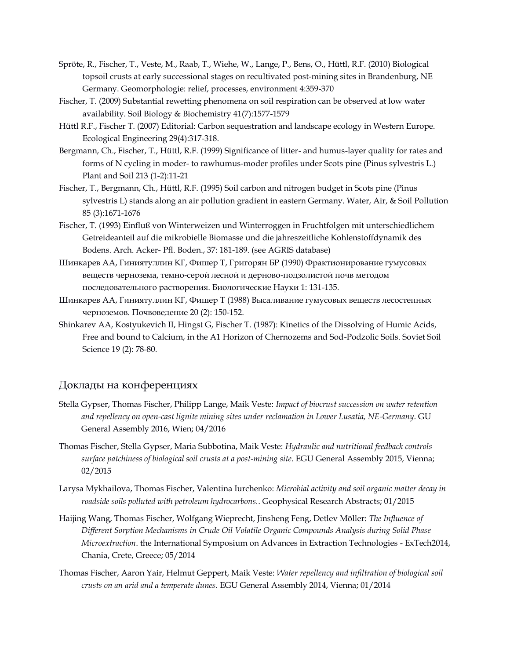- Spröte, R., Fischer, T., Veste, M., Raab, T., Wiehe, W., Lange, P., Bens, O., Hüttl, R.F. (2010) Biological topsoil crusts at early successional stages on recultivated post-mining sites in Brandenburg, NE Germany. Geomorphologie: relief, processes, environment 4:359-370
- Fischer, T. (2009) Substantial rewetting phenomena on soil respiration can be observed at low water availability. Soil Biology & Biochemistry 41(7):1577-1579
- Hüttl R.F., Fischer T. (2007) Editorial: Carbon sequestration and landscape ecology in Western Europe. Ecological Engineering 29(4):317-318.
- Bergmann, Ch., Fischer, T., Hüttl, R.F. (1999) Significance of litter- and humus-layer quality for rates and forms of N cycling in moder- to rawhumus-moder profiles under Scots pine (Pinus sylvestris L.) Plant and Soil 213 (1-2):11-21
- Fischer, T., Bergmann, Ch., Hüttl, R.F. (1995) Soil carbon and nitrogen budget in Scots pine (Pinus sylvestris L) stands along an air pollution gradient in eastern Germany. Water, Air, & Soil Pollution 85 (3):1671-1676
- Fischer, T. (1993) Einfluß von Winterweizen und Winterroggen in Fruchtfolgen mit unterschiedlichem Getreideanteil auf die mikrobielle Biomasse und die jahreszeitliche Kohlenstoffdynamik des Bodens. Arch. Acker- Pfl. Boden., 37: 181-189. (see AGRIS database)
- Шинкарев АА, Гиниятуллин КГ, Фишер Т, Григорян БР (1990) Фрактионирование гумусовых веществ чернозема, темно-серой лесной и дерново-подзолистой почв методом последовательного растворения. Биологические Науки 1: 131-135.
- Шинкарев АА, Гиниятуллин КГ, Фишер Т (1988) Высаливание гумусовых веществ лесостепных черноземов. Почвоведение 20 (2): 150-152.
- Shinkarev AA, Kostyukevich II, Hingst G, Fischer T. (1987): Kinetics of the Dissolving of Humic Acids, Free and bound to Calcium, in the A1 Horizon of Chernozems and Sod-Podzolic Soils. Soviet Soil Science 19 (2): 78-80.

### Доклады на конференциях

- Stella Gypser, Thomas Fischer, Philipp Lange, Maik Veste: *Impact of biocrust succession on water retention and repellency on open-cast lignite mining sites under reclamation in Lower Lusatia, NE-Germany*. GU General Assembly 2016, Wien; 04/2016
- Thomas Fischer, Stella Gypser, Maria Subbotina, Maik Veste: *Hydraulic and nutritional feedback controls surface patchiness of biological soil crusts at a post-mining site*. EGU General Assembly 2015, Vienna; 02/2015
- Larysa Mykhailova, Thomas Fischer, Valentina Iurchenko: *Microbial activity and soil organic matter decay in roadside soils polluted with petroleum hydrocarbons.*. Geophysical Research Abstracts; 01/2015
- Haijing Wang, Thomas Fischer, Wolfgang Wieprecht, Jinsheng Feng, Detlev Möller: *The Influence of Different Sorption Mechanisms in Crude Oil Volatile Organic Compounds Analysis during Solid Phase Microextraction*. the International Symposium on Advances in Extraction Technologies - ExTech2014, Chania, Crete, Greece; 05/2014
- Thomas Fischer, Aaron Yair, Helmut Geppert, Maik Veste: *Water repellency and infiltration of biological soil crusts on an arid and a temperate dunes*. EGU General Assembly 2014, Vienna; 01/2014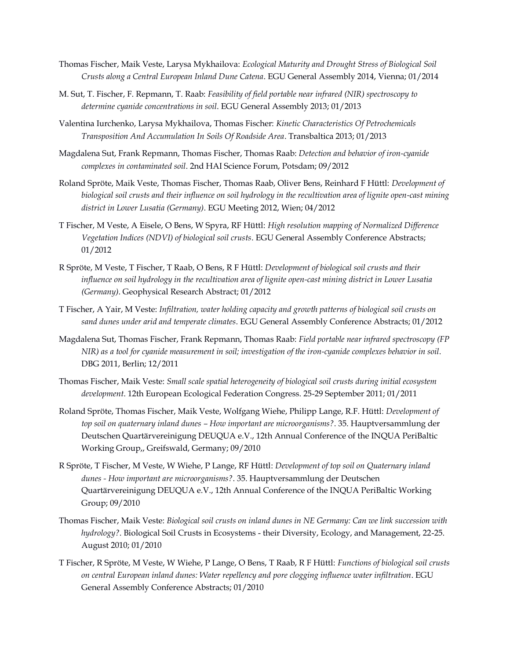- Thomas Fischer, Maik Veste, Larysa Mykhailova: *Ecological Maturity and Drought Stress of Biological Soil Crusts along a Central European Inland Dune Catena*. EGU General Assembly 2014, Vienna; 01/2014
- M. Sut, T. Fischer, F. Repmann, T. Raab: *Feasibility of field portable near infrared (NIR) spectroscopy to determine cyanide concentrations in soil*. EGU General Assembly 2013; 01/2013
- Valentina Iurchenko, Larysa Mykhailova, Thomas Fischer: *Kinetic Characteristics Of Petrochemicals Transposition And Accumulation In Soils Of Roadside Area*. Transbaltica 2013; 01/2013
- Magdalena Sut, Frank Repmann, Thomas Fischer, Thomas Raab: *Detection and behavior of iron-cyanide complexes in contaminated soil*. 2nd HAI Science Forum, Potsdam; 09/2012
- Roland Spröte, Maik Veste, Thomas Fischer, Thomas Raab, Oliver Bens, Reinhard F Hüttl: *Development of biological soil crusts and their influence on soil hydrology in the recultivation area of lignite open-cast mining district in Lower Lusatia (Germany)*. EGU Meeting 2012, Wien; 04/2012
- T Fischer, M Veste, A Eisele, O Bens, W Spyra, RF Hüttl: *High resolution mapping of Normalized Difference Vegetation Indices (NDVI) of biological soil crusts*. EGU General Assembly Conference Abstracts; 01/2012
- R Spröte, M Veste, T Fischer, T Raab, O Bens, R F Hüttl: *Development of biological soil crusts and their influence on soil hydrology in the recultivation area of lignite open-cast mining district in Lower Lusatia (Germany)*. Geophysical Research Abstract; 01/2012
- T Fischer, A Yair, M Veste: *Infiltration, water holding capacity and growth patterns of biological soil crusts on sand dunes under arid and temperate climates*. EGU General Assembly Conference Abstracts; 01/2012
- Magdalena Sut, Thomas Fischer, Frank Repmann, Thomas Raab: *Field portable near infrared spectroscopy (FP NIR) as a tool for cyanide measurement in soil; investigation of the iron-cyanide complexes behavior in soil*. DBG 2011, Berlin; 12/2011
- Thomas Fischer, Maik Veste: *Small scale spatial heterogeneity of biological soil crusts during initial ecosystem development*. 12th European Ecological Federation Congress. 25-29 September 2011; 01/2011
- Roland Spröte, Thomas Fischer, Maik Veste, Wolfgang Wiehe, Philipp Lange, R.F. Hüttl: *Development of top soil on quaternary inland dunes – How important are microorganisms?*. 35. Hauptversammlung der Deutschen Quartärvereinigung DEUQUA e.V., 12th Annual Conference of the INQUA PeriBaltic Working Group,, Greifswald, Germany; 09/2010
- R Spröte, T Fischer, M Veste, W Wiehe, P Lange, RF Hüttl: *Development of top soil on Quaternary inland dunes - How important are microorganisms?*. 35. Hauptversammlung der Deutschen Quartärvereinigung DEUQUA e.V., 12th Annual Conference of the INQUA PeriBaltic Working Group; 09/2010
- Thomas Fischer, Maik Veste: *Biological soil crusts on inland dunes in NE Germany: Can we link succession with hydrology?*. Biological Soil Crusts in Ecosystems - their Diversity, Ecology, and Management, 22-25. August 2010; 01/2010
- T Fischer, R Spröte, M Veste, W Wiehe, P Lange, O Bens, T Raab, R F Hüttl: *Functions of biological soil crusts on central European inland dunes: Water repellency and pore clogging influence water infiltration*. EGU General Assembly Conference Abstracts; 01/2010